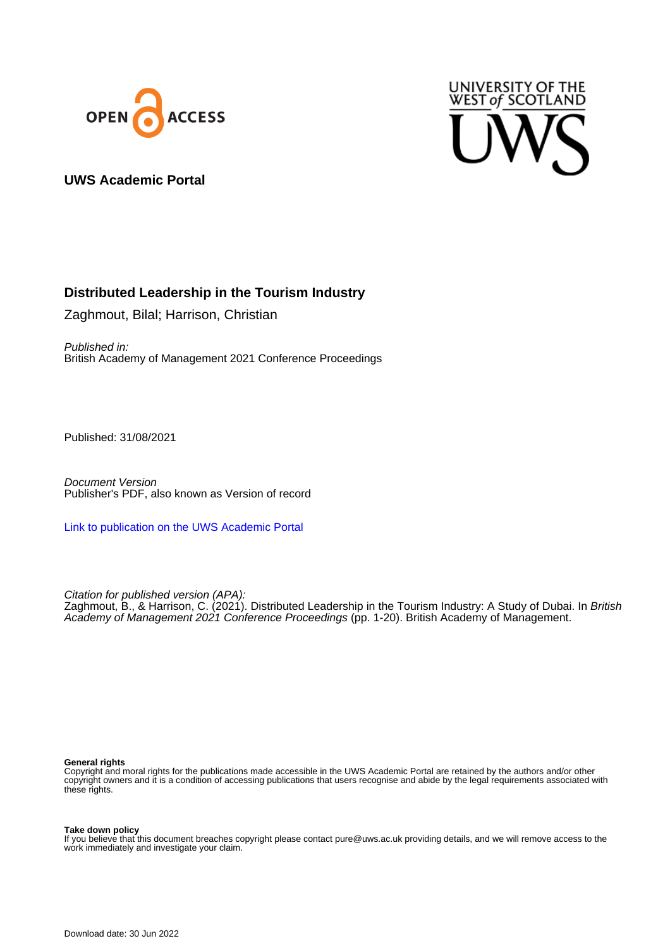



## **UWS Academic Portal**

# **Distributed Leadership in the Tourism Industry**

Zaghmout, Bilal; Harrison, Christian

Published in: British Academy of Management 2021 Conference Proceedings

Published: 31/08/2021

Document Version Publisher's PDF, also known as Version of record

[Link to publication on the UWS Academic Portal](https://uws.pure.elsevier.com/en/publications/242c7cf7-e438-4ea7-a3d4-9cc962a0fabf)

Citation for published version (APA): Zaghmout, B., & Harrison, C. (2021). Distributed Leadership in the Tourism Industry: A Study of Dubai. In *British* Academy of Management 2021 Conference Proceedings (pp. 1-20). British Academy of Management.

#### **General rights**

Copyright and moral rights for the publications made accessible in the UWS Academic Portal are retained by the authors and/or other copyright owners and it is a condition of accessing publications that users recognise and abide by the legal requirements associated with these rights.

#### **Take down policy**

If you believe that this document breaches copyright please contact pure@uws.ac.uk providing details, and we will remove access to the work immediately and investigate your claim.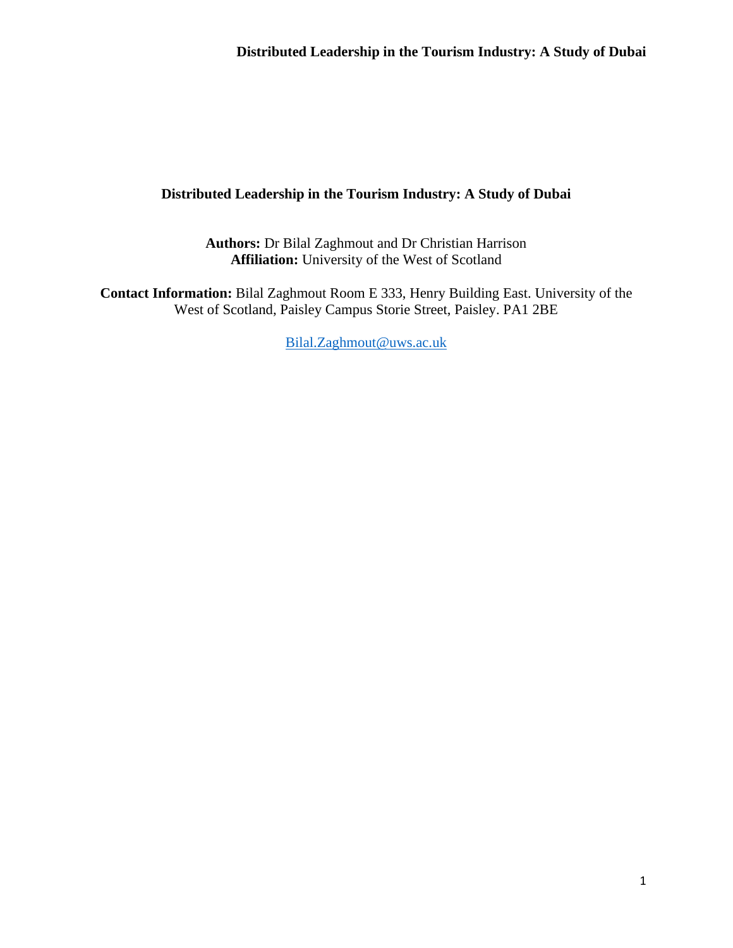**Authors:** Dr Bilal Zaghmout and Dr Christian Harrison **Affiliation:** University of the West of Scotland

**Contact Information:** Bilal Zaghmout Room E 333, Henry Building East. University of the West of Scotland, Paisley Campus Storie Street, Paisley. PA1 2BE

[Bilal.Zaghmout@uws.ac.uk](mailto:Bilal.Zaghmout@uws.ac.uk)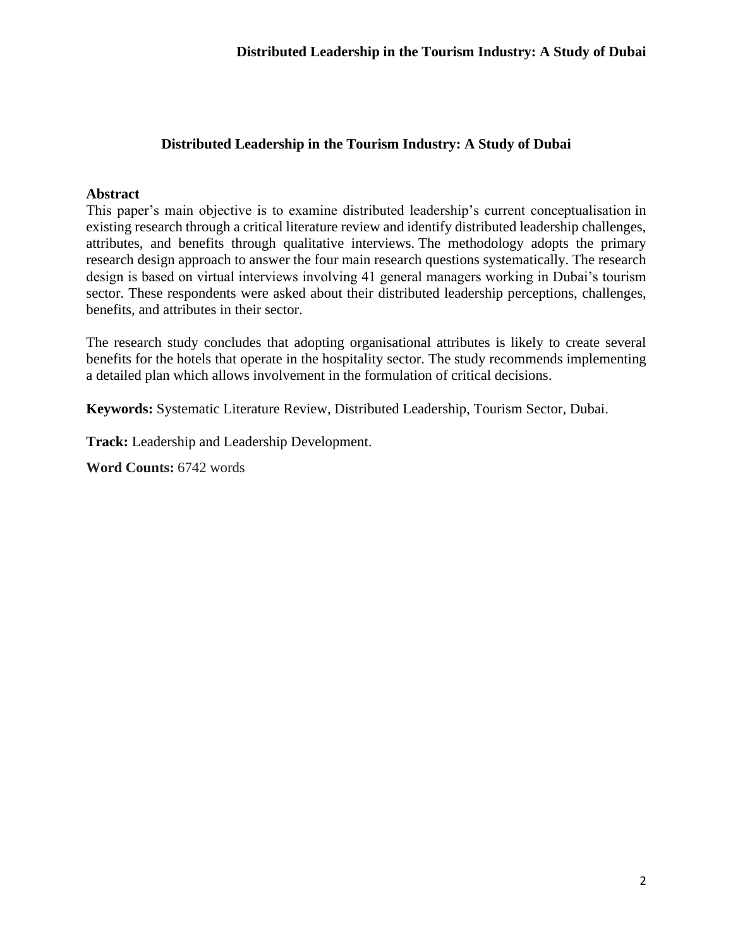### **Abstract**

This paper's main objective is to examine distributed leadership's current conceptualisation in existing research through a critical literature review and identify distributed leadership challenges, attributes, and benefits through qualitative interviews. The methodology adopts the primary research design approach to answer the four main research questions systematically. The research design is based on virtual interviews involving 41 general managers working in Dubai's tourism sector. These respondents were asked about their distributed leadership perceptions, challenges, benefits, and attributes in their sector.

The research study concludes that adopting organisational attributes is likely to create several benefits for the hotels that operate in the hospitality sector. The study recommends implementing a detailed plan which allows involvement in the formulation of critical decisions.

**Keywords:** Systematic Literature Review, Distributed Leadership, Tourism Sector, Dubai.

**Track:** [Leadership and Leadership Development.](https://www.bam.ac.uk/static/526baa28-c3fe-480c-90488502825371ce/BAM2021-Leadership-and-Leadership-Development-Track.pdf)

**Word Counts:** 6742 words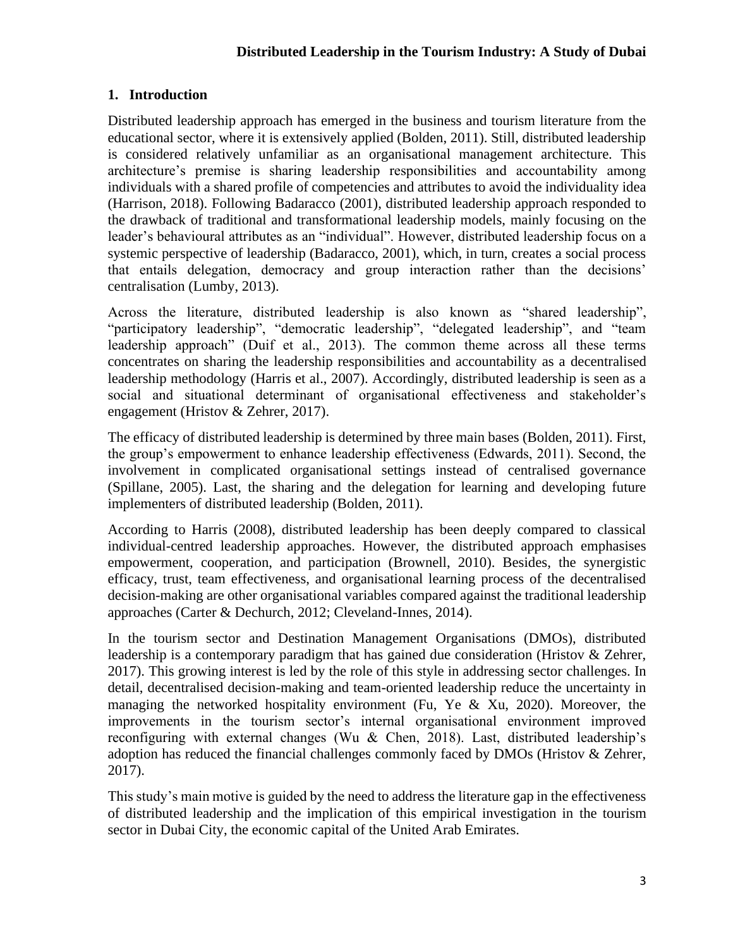# **1. Introduction**

Distributed leadership approach has emerged in the business and tourism literature from the educational sector, where it is extensively applied (Bolden, 2011). Still, distributed leadership is considered relatively unfamiliar as an organisational management architecture. This architecture's premise is sharing leadership responsibilities and accountability among individuals with a shared profile of competencies and attributes to avoid the individuality idea (Harrison, 2018). Following Badaracco (2001), distributed leadership approach responded to the drawback of traditional and transformational leadership models, mainly focusing on the leader's behavioural attributes as an "individual". However, distributed leadership focus on a systemic perspective of leadership (Badaracco, 2001), which, in turn, creates a social process that entails delegation, democracy and group interaction rather than the decisions' centralisation (Lumby, 2013).

Across the literature, distributed leadership is also known as "shared leadership", "participatory leadership", "democratic leadership", "delegated leadership", and "team leadership approach" (Duif et al., 2013). The common theme across all these terms concentrates on sharing the leadership responsibilities and accountability as a decentralised leadership methodology (Harris et al., 2007). Accordingly, distributed leadership is seen as a social and situational determinant of organisational effectiveness and stakeholder's engagement (Hristov & Zehrer, 2017).

The efficacy of distributed leadership is determined by three main bases (Bolden, 2011). First, the group's empowerment to enhance leadership effectiveness (Edwards, 2011). Second, the involvement in complicated organisational settings instead of centralised governance (Spillane, 2005). Last, the sharing and the delegation for learning and developing future implementers of distributed leadership (Bolden, 2011).

According to Harris (2008), distributed leadership has been deeply compared to classical individual-centred leadership approaches. However, the distributed approach emphasises empowerment, cooperation, and participation (Brownell, 2010). Besides, the synergistic efficacy, trust, team effectiveness, and organisational learning process of the decentralised decision-making are other organisational variables compared against the traditional leadership approaches (Carter & Dechurch, 2012; Cleveland-Innes, 2014).

In the tourism sector and Destination Management Organisations (DMOs), distributed leadership is a contemporary paradigm that has gained due consideration (Hristov & Zehrer, 2017). This growing interest is led by the role of this style in addressing sector challenges. In detail, decentralised decision-making and team-oriented leadership reduce the uncertainty in managing the networked hospitality environment (Fu, Ye & Xu, 2020). Moreover, the improvements in the tourism sector's internal organisational environment improved reconfiguring with external changes (Wu & Chen, 2018). Last, distributed leadership's adoption has reduced the financial challenges commonly faced by DMOs (Hristov & Zehrer, 2017).

This study's main motive is guided by the need to address the literature gap in the effectiveness of distributed leadership and the implication of this empirical investigation in the tourism sector in Dubai City, the economic capital of the United Arab Emirates.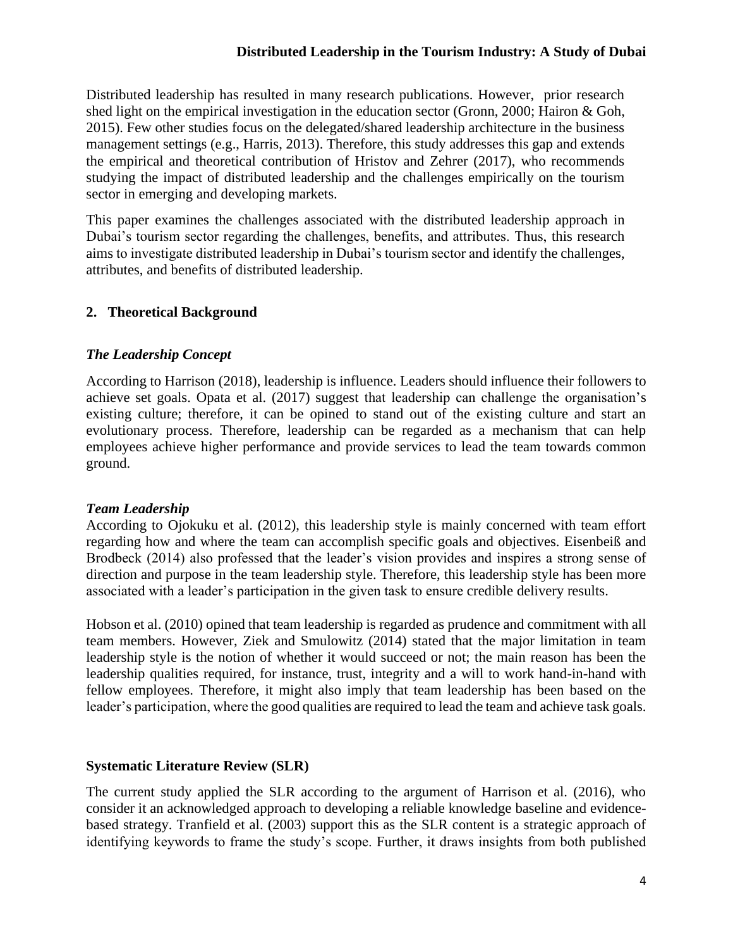Distributed leadership has resulted in many research publications. However, prior research shed light on the empirical investigation in the education sector (Gronn, 2000; Hairon & Goh, 2015). Few other studies focus on the delegated/shared leadership architecture in the business management settings (e.g., Harris, 2013). Therefore, this study addresses this gap and extends the empirical and theoretical contribution of Hristov and Zehrer (2017), who recommends studying the impact of distributed leadership and the challenges empirically on the tourism sector in emerging and developing markets.

This paper examines the challenges associated with the distributed leadership approach in Dubai's tourism sector regarding the challenges, benefits, and attributes. Thus, this research aims to investigate distributed leadership in Dubai's tourism sector and identify the challenges, attributes, and benefits of distributed leadership.

# **2. Theoretical Background**

#### *The Leadership Concept*

According to Harrison (2018), leadership is influence. Leaders should influence their followers to achieve set goals. Opata et al. (2017) suggest that leadership can challenge the organisation's existing culture; therefore, it can be opined to stand out of the existing culture and start an evolutionary process. Therefore, leadership can be regarded as a mechanism that can help employees achieve higher performance and provide services to lead the team towards common ground.

#### *Team Leadership*

According to Ojokuku et al. (2012), this leadership style is mainly concerned with team effort regarding how and where the team can accomplish specific goals and objectives. Eisenbeiß and Brodbeck (2014) also professed that the leader's vision provides and inspires a strong sense of direction and purpose in the team leadership style. Therefore, this leadership style has been more associated with a leader's participation in the given task to ensure credible delivery results.

Hobson et al. (2010) opined that team leadership is regarded as prudence and commitment with all team members. However, Ziek and Smulowitz (2014) stated that the major limitation in team leadership style is the notion of whether it would succeed or not; the main reason has been the leadership qualities required, for instance, trust, integrity and a will to work hand-in-hand with fellow employees. Therefore, it might also imply that team leadership has been based on the leader's participation, where the good qualities are required to lead the team and achieve task goals.

#### **Systematic Literature Review (SLR)**

The current study applied the SLR according to the argument of Harrison et al. (2016), who consider it an acknowledged approach to developing a reliable knowledge baseline and evidencebased strategy. Tranfield et al. (2003) support this as the SLR content is a strategic approach of identifying keywords to frame the study's scope. Further, it draws insights from both published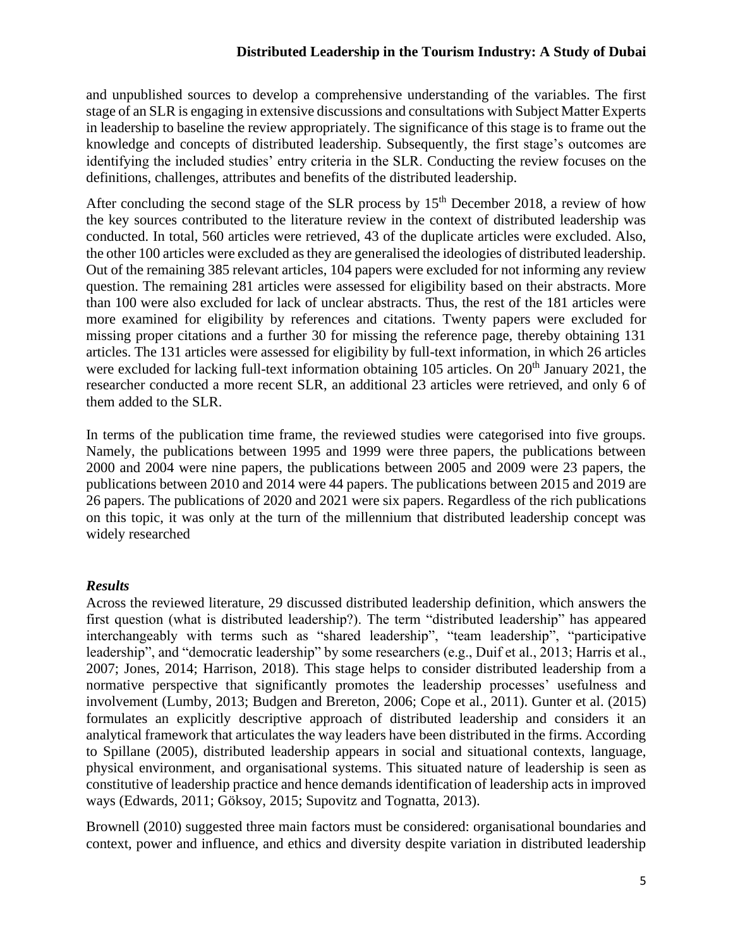and unpublished sources to develop a comprehensive understanding of the variables. The first stage of an SLR is engaging in extensive discussions and consultations with Subject Matter Experts in leadership to baseline the review appropriately. The significance of this stage is to frame out the knowledge and concepts of distributed leadership. Subsequently, the first stage's outcomes are identifying the included studies' entry criteria in the SLR. Conducting the review focuses on the definitions, challenges, attributes and benefits of the distributed leadership.

After concluding the second stage of the SLR process by  $15<sup>th</sup>$  December 2018, a review of how the key sources contributed to the literature review in the context of distributed leadership was conducted. In total, 560 articles were retrieved, 43 of the duplicate articles were excluded. Also, the other 100 articles were excluded as they are generalised the ideologies of distributed leadership. Out of the remaining 385 relevant articles, 104 papers were excluded for not informing any review question. The remaining 281 articles were assessed for eligibility based on their abstracts. More than 100 were also excluded for lack of unclear abstracts. Thus, the rest of the 181 articles were more examined for eligibility by references and citations. Twenty papers were excluded for missing proper citations and a further 30 for missing the reference page, thereby obtaining 131 articles. The 131 articles were assessed for eligibility by full-text information, in which 26 articles were excluded for lacking full-text information obtaining 105 articles. On 20<sup>th</sup> January 2021, the researcher conducted a more recent SLR, an additional 23 articles were retrieved, and only 6 of them added to the SLR.

In terms of the publication time frame, the reviewed studies were categorised into five groups. Namely, the publications between 1995 and 1999 were three papers, the publications between 2000 and 2004 were nine papers, the publications between 2005 and 2009 were 23 papers, the publications between 2010 and 2014 were 44 papers. The publications between 2015 and 2019 are 26 papers. The publications of 2020 and 2021 were six papers. Regardless of the rich publications on this topic, it was only at the turn of the millennium that distributed leadership concept was widely researched

# *Results*

Across the reviewed literature, 29 discussed distributed leadership definition*,* which answers the first question (what is distributed leadership?). The term "distributed leadership" has appeared interchangeably with terms such as "shared leadership", "team leadership", "participative leadership", and "democratic leadership" by some researchers (e.g., Duif et al., 2013; Harris et al., 2007; Jones, 2014; Harrison, 2018). This stage helps to consider distributed leadership from a normative perspective that significantly promotes the leadership processes' usefulness and involvement (Lumby, 2013; Budgen and Brereton, 2006; Cope et al., 2011). Gunter et al. (2015) formulates an explicitly descriptive approach of distributed leadership and considers it an analytical framework that articulates the way leaders have been distributed in the firms. According to Spillane (2005), distributed leadership appears in social and situational contexts, language, physical environment, and organisational systems. This situated nature of leadership is seen as constitutive of leadership practice and hence demands identification of leadership acts in improved ways (Edwards, 2011; Göksoy, 2015; Supovitz and Tognatta, 2013).

Brownell (2010) suggested three main factors must be considered: organisational boundaries and context, power and influence, and ethics and diversity despite variation in distributed leadership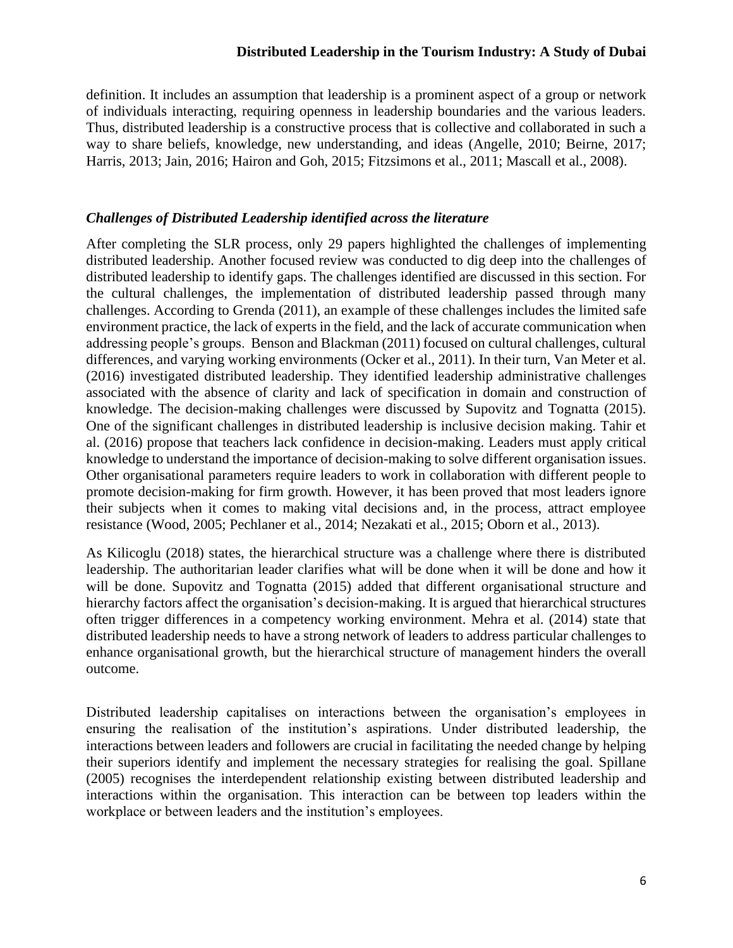definition. It includes an assumption that leadership is a prominent aspect of a group or network of individuals interacting, requiring openness in leadership boundaries and the various leaders. Thus, distributed leadership is a constructive process that is collective and collaborated in such a way to share beliefs, knowledge, new understanding, and ideas (Angelle, 2010; Beirne, 2017; Harris, 2013; Jain, 2016; Hairon and Goh, 2015; Fitzsimons et al., 2011; Mascall et al., 2008).

### *Challenges of Distributed Leadership identified across the literature*

After completing the SLR process, only 29 papers highlighted the challenges of implementing distributed leadership. Another focused review was conducted to dig deep into the challenges of distributed leadership to identify gaps. The challenges identified are discussed in this section. For the cultural challenges, the implementation of distributed leadership passed through many challenges. According to Grenda (2011), an example of these challenges includes the limited safe environment practice, the lack of experts in the field, and the lack of accurate communication when addressing people's groups. Benson and Blackman (2011) focused on cultural challenges, cultural differences, and varying working environments (Ocker et al., 2011). In their turn, Van Meter et al. (2016) investigated distributed leadership. They identified leadership administrative challenges associated with the absence of clarity and lack of specification in domain and construction of knowledge. The decision-making challenges were discussed by Supovitz and Tognatta (2015). One of the significant challenges in distributed leadership is inclusive decision making. Tahir et al. (2016) propose that teachers lack confidence in decision-making. Leaders must apply critical knowledge to understand the importance of decision-making to solve different organisation issues. Other organisational parameters require leaders to work in collaboration with different people to promote decision-making for firm growth. However, it has been proved that most leaders ignore their subjects when it comes to making vital decisions and, in the process, attract employee resistance (Wood, 2005; Pechlaner et al., 2014; Nezakati et al., 2015; Oborn et al., 2013).

As Kilicoglu (2018) states, the hierarchical structure was a challenge where there is distributed leadership. The authoritarian leader clarifies what will be done when it will be done and how it will be done. Supovitz and Tognatta (2015) added that different organisational structure and hierarchy factors affect the organisation's decision-making. It is argued that hierarchical structures often trigger differences in a competency working environment. Mehra et al. (2014) state that distributed leadership needs to have a strong network of leaders to address particular challenges to enhance organisational growth, but the hierarchical structure of management hinders the overall outcome.

Distributed leadership capitalises on interactions between the organisation's employees in ensuring the realisation of the institution's aspirations. Under distributed leadership, the interactions between leaders and followers are crucial in facilitating the needed change by helping their superiors identify and implement the necessary strategies for realising the goal. Spillane (2005) recognises the interdependent relationship existing between distributed leadership and interactions within the organisation. This interaction can be between top leaders within the workplace or between leaders and the institution's employees.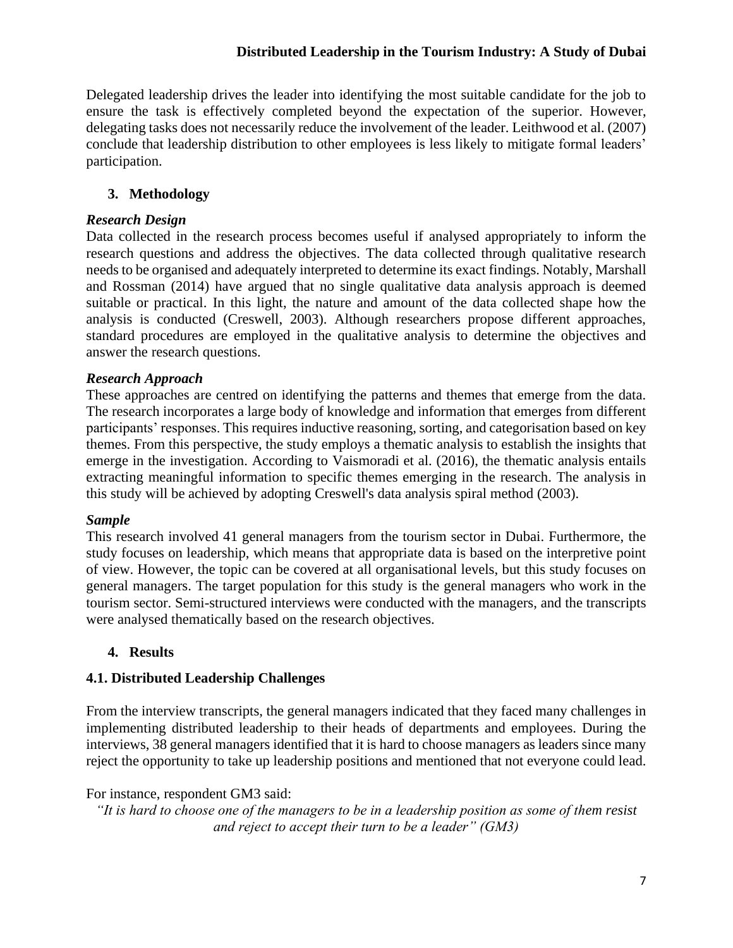Delegated leadership drives the leader into identifying the most suitable candidate for the job to ensure the task is effectively completed beyond the expectation of the superior. However, delegating tasks does not necessarily reduce the involvement of the leader. Leithwood et al. (2007) conclude that leadership distribution to other employees is less likely to mitigate formal leaders' participation.

# **3. Methodology**

# *Research Design*

Data collected in the research process becomes useful if analysed appropriately to inform the research questions and address the objectives. The data collected through qualitative research needs to be organised and adequately interpreted to determine its exact findings. Notably, Marshall and Rossman (2014) have argued that no single qualitative data analysis approach is deemed suitable or practical. In this light, the nature and amount of the data collected shape how the analysis is conducted (Creswell, 2003). Although researchers propose different approaches, standard procedures are employed in the qualitative analysis to determine the objectives and answer the research questions.

# *Research Approach*

These approaches are centred on identifying the patterns and themes that emerge from the data. The research incorporates a large body of knowledge and information that emerges from different participants' responses. This requires inductive reasoning, sorting, and categorisation based on key themes. From this perspective, the study employs a thematic analysis to establish the insights that emerge in the investigation. According to Vaismoradi et al. (2016), the thematic analysis entails extracting meaningful information to specific themes emerging in the research. The analysis in this study will be achieved by adopting Creswell's data analysis spiral method (2003).

# *Sample*

This research involved 41 general managers from the tourism sector in Dubai. Furthermore, the study focuses on leadership, which means that appropriate data is based on the interpretive point of view. However, the topic can be covered at all organisational levels, but this study focuses on general managers. The target population for this study is the general managers who work in the tourism sector. Semi-structured interviews were conducted with the managers, and the transcripts were analysed thematically based on the research objectives.

# **4. Results**

# **4.1. Distributed Leadership Challenges**

From the interview transcripts, the general managers indicated that they faced many challenges in implementing distributed leadership to their heads of departments and employees. During the interviews, 38 general managers identified that it is hard to choose managers as leaders since many reject the opportunity to take up leadership positions and mentioned that not everyone could lead.

# For instance, respondent GM3 said:

*"It is hard to choose one of the managers to be in a leadership position as some of them resist and reject to accept their turn to be a leader" (GM3)*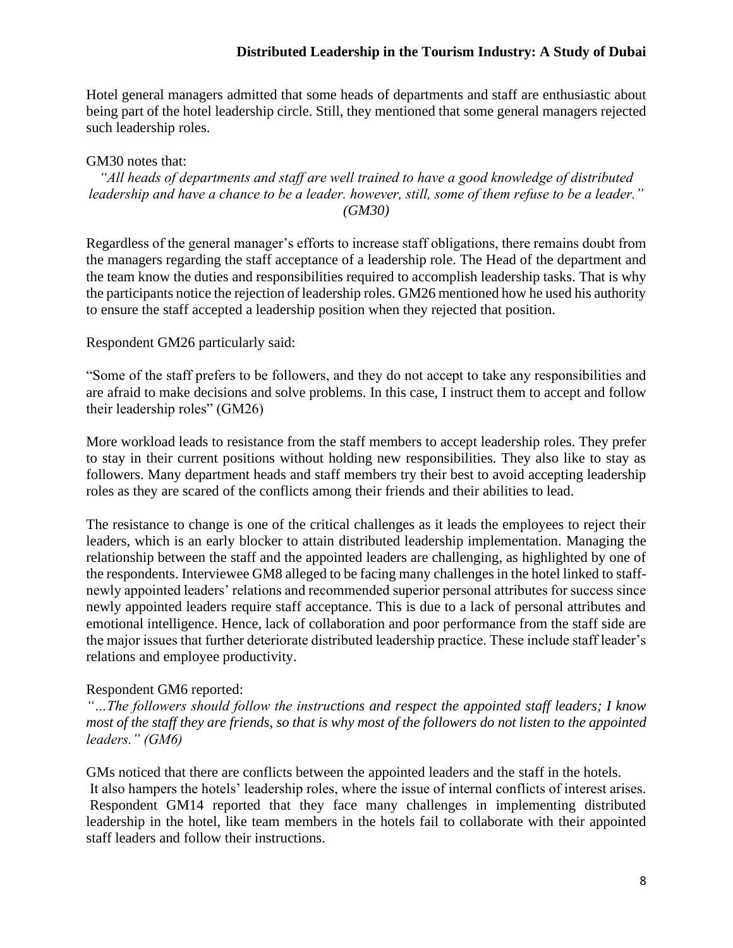Hotel general managers admitted that some heads of departments and staff are enthusiastic about being part of the hotel leadership circle. Still, they mentioned that some general managers rejected such leadership roles.

#### GM30 notes that:

#### *"All heads of departments and staff are well trained to have a good knowledge of distributed leadership and have a chance to be a leader. however, still, some of them refuse to be a leader." (GM30)*

Regardless of the general manager's efforts to increase staff obligations, there remains doubt from the managers regarding the staff acceptance of a leadership role. The Head of the department and the team know the duties and responsibilities required to accomplish leadership tasks. That is why the participants notice the rejection of leadership roles. GM26 mentioned how he used his authority to ensure the staff accepted a leadership position when they rejected that position.

#### Respondent GM26 particularly said:

"Some of the staff prefers to be followers, and they do not accept to take any responsibilities and are afraid to make decisions and solve problems. In this case, I instruct them to accept and follow their leadership roles" (GM26)

More workload leads to resistance from the staff members to accept leadership roles. They prefer to stay in their current positions without holding new responsibilities. They also like to stay as followers. Many department heads and staff members try their best to avoid accepting leadership roles as they are scared of the conflicts among their friends and their abilities to lead.

The resistance to change is one of the critical challenges as it leads the employees to reject their leaders, which is an early blocker to attain distributed leadership implementation. Managing the relationship between the staff and the appointed leaders are challenging, as highlighted by one of the respondents. Interviewee GM8 alleged to be facing many challenges in the hotel linked to staffnewly appointed leaders' relations and recommended superior personal attributes for success since newly appointed leaders require staff acceptance. This is due to a lack of personal attributes and emotional intelligence. Hence, lack of collaboration and poor performance from the staff side are the major issues that further deteriorate distributed leadership practice. These include staff leader's relations and employee productivity.

#### Respondent GM6 reported:

*"…The followers should follow the instructions and respect the appointed staff leaders; I know most of the staff they are friends, so that is why most of the followers do not listen to the appointed leaders." (GM6)*

GMs noticed that there are conflicts between the appointed leaders and the staff in the hotels. It also hampers the hotels' leadership roles, where the issue of internal conflicts of interest arises. Respondent GM14 reported that they face many challenges in implementing distributed leadership in the hotel, like team members in the hotels fail to collaborate with their appointed staff leaders and follow their instructions.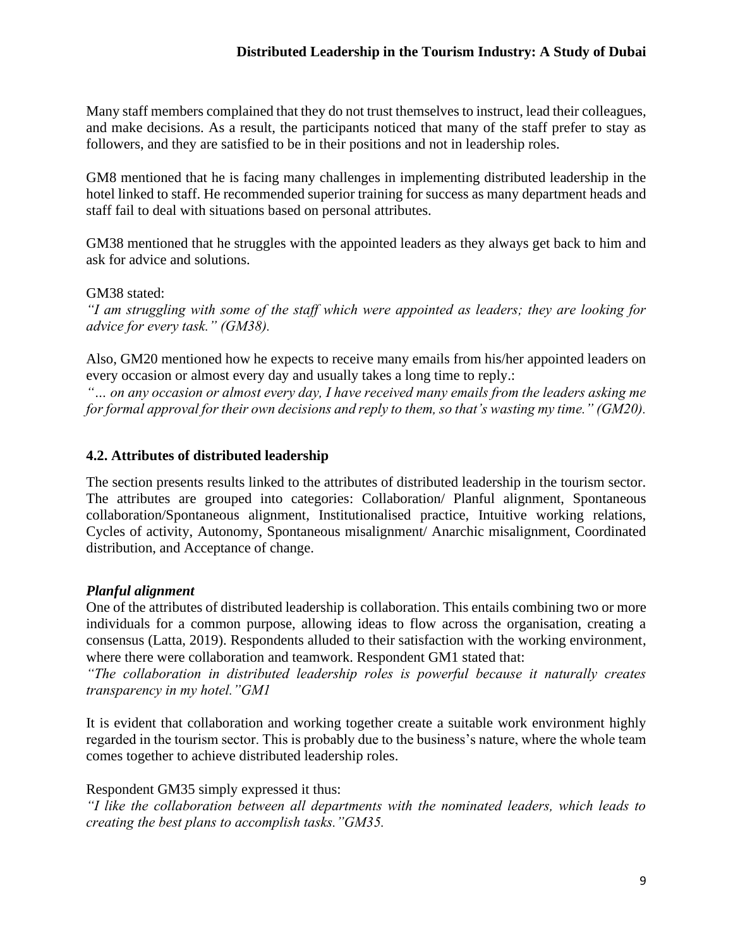Many staff members complained that they do not trust themselves to instruct, lead their colleagues, and make decisions. As a result, the participants noticed that many of the staff prefer to stay as followers, and they are satisfied to be in their positions and not in leadership roles.

GM8 mentioned that he is facing many challenges in implementing distributed leadership in the hotel linked to staff. He recommended superior training for success as many department heads and staff fail to deal with situations based on personal attributes.

GM38 mentioned that he struggles with the appointed leaders as they always get back to him and ask for advice and solutions.

### GM38 stated:

*"I am struggling with some of the staff which were appointed as leaders; they are looking for advice for every task." (GM38).*

Also, GM20 mentioned how he expects to receive many emails from his/her appointed leaders on every occasion or almost every day and usually takes a long time to reply.:

*"… on any occasion or almost every day, I have received many emails from the leaders asking me for formal approval for their own decisions and reply to them, so that's wasting my time." (GM20).*

### **4.2. Attributes of distributed leadership**

The section presents results linked to the attributes of distributed leadership in the tourism sector. The attributes are grouped into categories: Collaboration/ Planful alignment, Spontaneous collaboration/Spontaneous alignment, Institutionalised practice, Intuitive working relations, Cycles of activity, Autonomy, Spontaneous misalignment/ Anarchic misalignment, Coordinated distribution, and Acceptance of change.

#### *Planful alignment*

One of the attributes of distributed leadership is collaboration. This entails combining two or more individuals for a common purpose, allowing ideas to flow across the organisation, creating a consensus (Latta, 2019). Respondents alluded to their satisfaction with the working environment, where there were collaboration and teamwork. Respondent GM1 stated that:

*"The collaboration in distributed leadership roles is powerful because it naturally creates transparency in my hotel."GM1*

It is evident that collaboration and working together create a suitable work environment highly regarded in the tourism sector. This is probably due to the business's nature, where the whole team comes together to achieve distributed leadership roles.

Respondent GM35 simply expressed it thus:

*"I like the collaboration between all departments with the nominated leaders, which leads to creating the best plans to accomplish tasks."GM35.*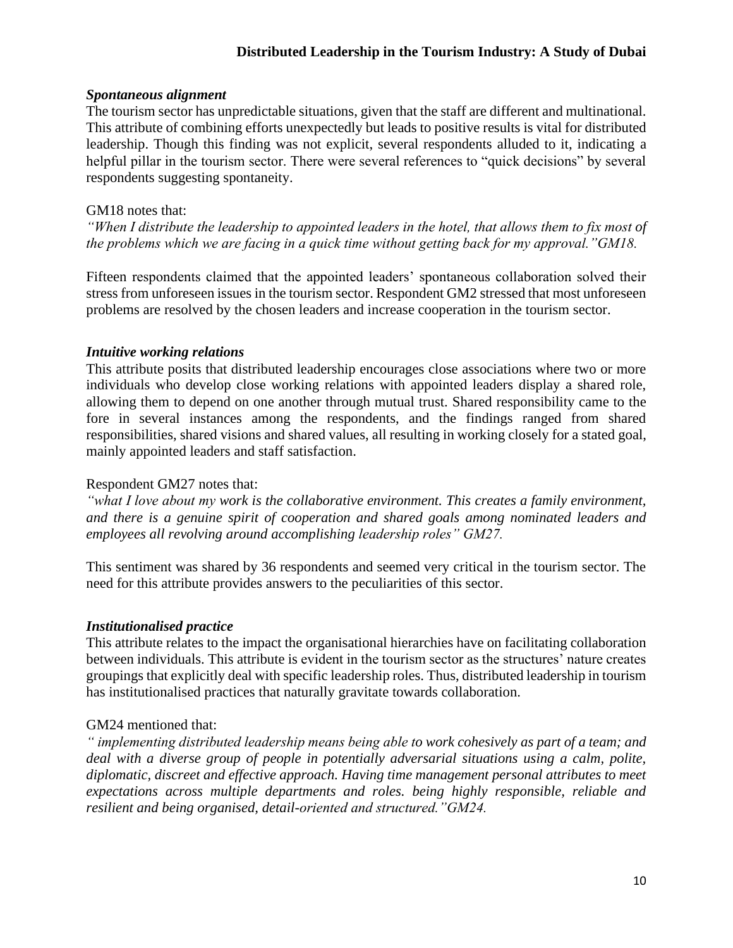# *Spontaneous alignment*

The tourism sector has unpredictable situations, given that the staff are different and multinational. This attribute of combining efforts unexpectedly but leads to positive results is vital for distributed leadership. Though this finding was not explicit, several respondents alluded to it, indicating a helpful pillar in the tourism sector. There were several references to "quick decisions" by several respondents suggesting spontaneity.

# GM18 notes that:

*"When I distribute the leadership to appointed leaders in the hotel, that allows them to fix most of the problems which we are facing in a quick time without getting back for my approval."GM18.*

Fifteen respondents claimed that the appointed leaders' spontaneous collaboration solved their stress from unforeseen issues in the tourism sector. Respondent GM2 stressed that most unforeseen problems are resolved by the chosen leaders and increase cooperation in the tourism sector.

# *Intuitive working relations*

This attribute posits that distributed leadership encourages close associations where two or more individuals who develop close working relations with appointed leaders display a shared role, allowing them to depend on one another through mutual trust. Shared responsibility came to the fore in several instances among the respondents, and the findings ranged from shared responsibilities, shared visions and shared values, all resulting in working closely for a stated goal, mainly appointed leaders and staff satisfaction.

# Respondent GM27 notes that:

*"what I love about my work is the collaborative environment. This creates a family environment, and there is a genuine spirit of cooperation and shared goals among nominated leaders and employees all revolving around accomplishing leadership roles" GM27.*

This sentiment was shared by 36 respondents and seemed very critical in the tourism sector. The need for this attribute provides answers to the peculiarities of this sector.

# *Institutionalised practice*

This attribute relates to the impact the organisational hierarchies have on facilitating collaboration between individuals. This attribute is evident in the tourism sector as the structures' nature creates groupings that explicitly deal with specific leadership roles. Thus, distributed leadership in tourism has institutionalised practices that naturally gravitate towards collaboration.

# GM24 mentioned that:

*" implementing distributed leadership means being able to work cohesively as part of a team; and deal with a diverse group of people in potentially adversarial situations using a calm, polite, diplomatic, discreet and effective approach. Having time management personal attributes to meet expectations across multiple departments and roles. being highly responsible, reliable and resilient and being organised, detail-oriented and structured."GM24.*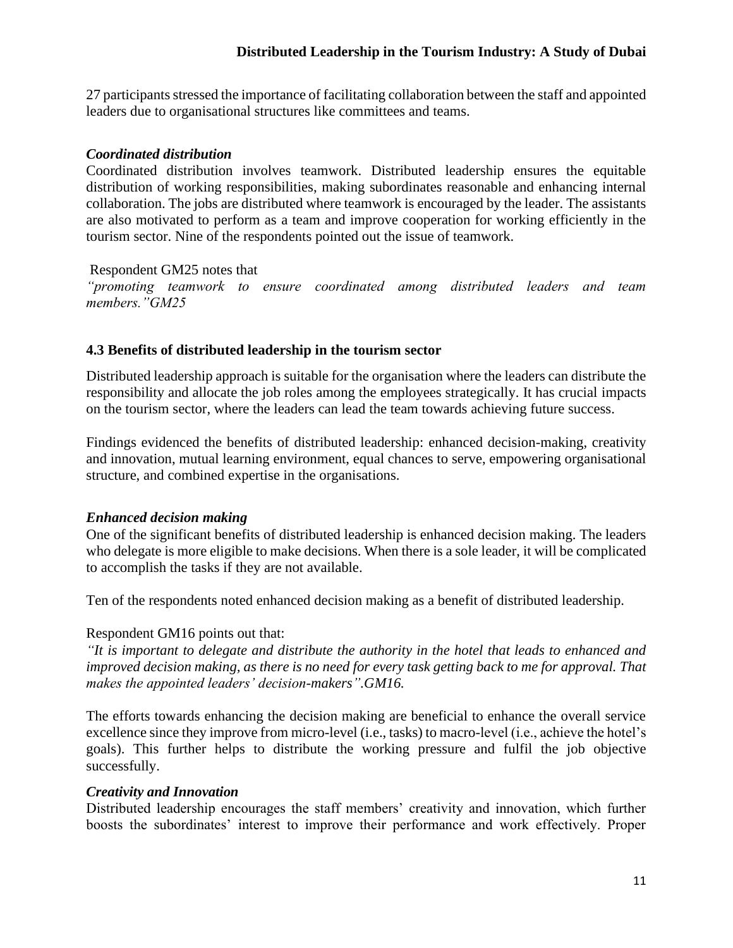27 participants stressed the importance of facilitating collaboration between the staff and appointed leaders due to organisational structures like committees and teams.

### *Coordinated distribution*

Coordinated distribution involves teamwork. Distributed leadership ensures the equitable distribution of working responsibilities, making subordinates reasonable and enhancing internal collaboration. The jobs are distributed where teamwork is encouraged by the leader. The assistants are also motivated to perform as a team and improve cooperation for working efficiently in the tourism sector. Nine of the respondents pointed out the issue of teamwork.

#### Respondent GM25 notes that

*"promoting teamwork to ensure coordinated among distributed leaders and team members."GM25*

### **4.3 Benefits of distributed leadership in the tourism sector**

Distributed leadership approach is suitable for the organisation where the leaders can distribute the responsibility and allocate the job roles among the employees strategically. It has crucial impacts on the tourism sector, where the leaders can lead the team towards achieving future success.

Findings evidenced the benefits of distributed leadership: enhanced decision-making, creativity and innovation, mutual learning environment, equal chances to serve, empowering organisational structure, and combined expertise in the organisations.

#### *Enhanced decision making*

One of the significant benefits of distributed leadership is enhanced decision making. The leaders who delegate is more eligible to make decisions. When there is a sole leader, it will be complicated to accomplish the tasks if they are not available.

Ten of the respondents noted enhanced decision making as a benefit of distributed leadership.

#### Respondent GM16 points out that:

*"It is important to delegate and distribute the authority in the hotel that leads to enhanced and improved decision making, as there is no need for every task getting back to me for approval. That makes the appointed leaders' decision-makers".GM16.*

The efforts towards enhancing the decision making are beneficial to enhance the overall service excellence since they improve from micro-level (i.e., tasks) to macro-level (i.e., achieve the hotel's goals). This further helps to distribute the working pressure and fulfil the job objective successfully.

#### *Creativity and Innovation*

Distributed leadership encourages the staff members' creativity and innovation, which further boosts the subordinates' interest to improve their performance and work effectively. Proper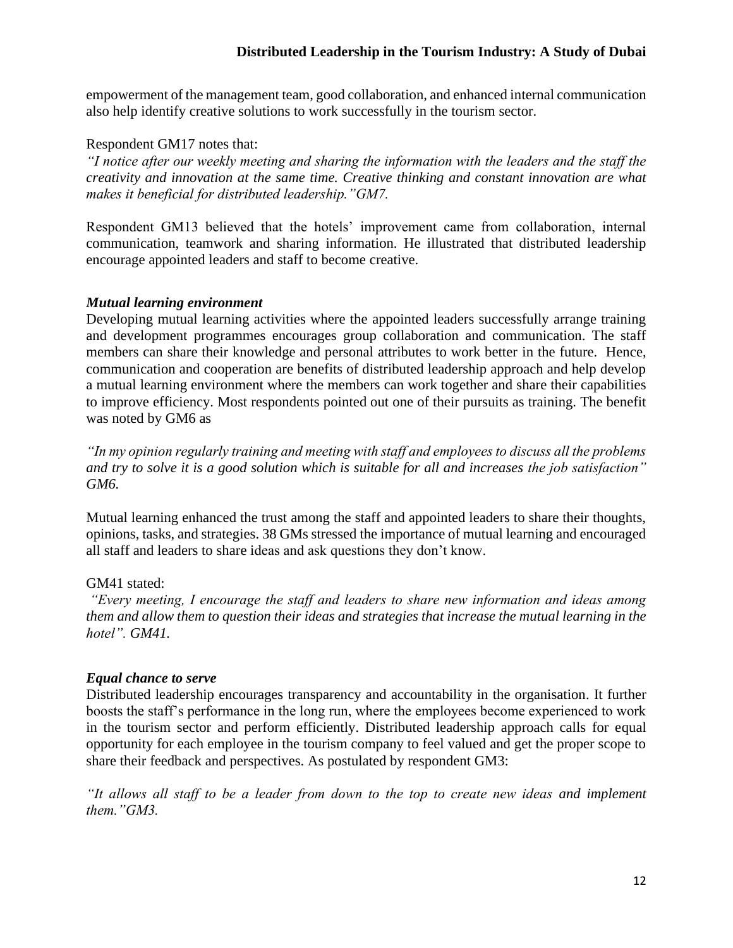empowerment of the management team, good collaboration, and enhanced internal communication also help identify creative solutions to work successfully in the tourism sector.

#### Respondent GM17 notes that:

*"I notice after our weekly meeting and sharing the information with the leaders and the staff the creativity and innovation at the same time. Creative thinking and constant innovation are what makes it beneficial for distributed leadership."GM7.*

Respondent GM13 believed that the hotels' improvement came from collaboration, internal communication, teamwork and sharing information. He illustrated that distributed leadership encourage appointed leaders and staff to become creative.

#### *Mutual learning environment*

Developing mutual learning activities where the appointed leaders successfully arrange training and development programmes encourages group collaboration and communication. The staff members can share their knowledge and personal attributes to work better in the future. Hence, communication and cooperation are benefits of distributed leadership approach and help develop a mutual learning environment where the members can work together and share their capabilities to improve efficiency. Most respondents pointed out one of their pursuits as training. The benefit was noted by GM6 as

*"In my opinion regularly training and meeting with staff and employees to discuss all the problems and try to solve it is a good solution which is suitable for all and increases the job satisfaction" GM6.*

Mutual learning enhanced the trust among the staff and appointed leaders to share their thoughts, opinions, tasks, and strategies. 38 GMs stressed the importance of mutual learning and encouraged all staff and leaders to share ideas and ask questions they don't know.

#### GM41 stated:

*"Every meeting, I encourage the staff and leaders to share new information and ideas among them and allow them to question their ideas and strategies that increase the mutual learning in the hotel". GM41.*

#### *Equal chance to serve*

Distributed leadership encourages transparency and accountability in the organisation. It further boosts the staff's performance in the long run, where the employees become experienced to work in the tourism sector and perform efficiently. Distributed leadership approach calls for equal opportunity for each employee in the tourism company to feel valued and get the proper scope to share their feedback and perspectives. As postulated by respondent GM3:

*"It allows all staff to be a leader from down to the top to create new ideas and implement them."GM3.*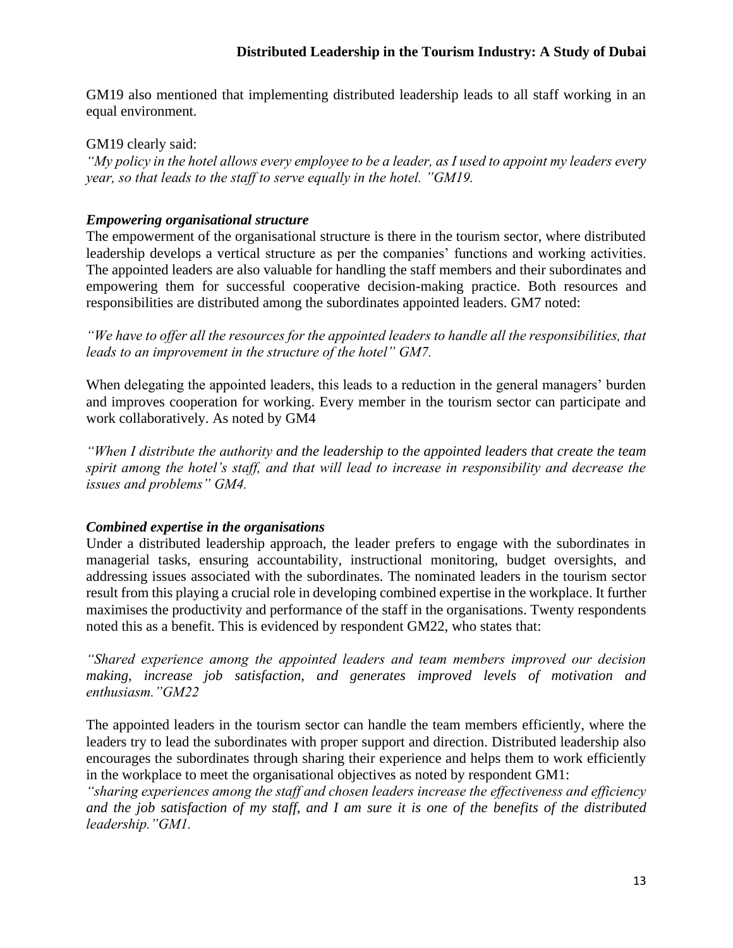GM19 also mentioned that implementing distributed leadership leads to all staff working in an equal environment.

GM19 clearly said:

*"My policy in the hotel allows every employee to be a leader, as I used to appoint my leaders every year, so that leads to the staff to serve equally in the hotel. "GM19.*

### *Empowering organisational structure*

The empowerment of the organisational structure is there in the tourism sector, where distributed leadership develops a vertical structure as per the companies' functions and working activities. The appointed leaders are also valuable for handling the staff members and their subordinates and empowering them for successful cooperative decision-making practice. Both resources and responsibilities are distributed among the subordinates appointed leaders. GM7 noted:

*"We have to offer all the resources for the appointed leaders to handle all the responsibilities, that leads to an improvement in the structure of the hotel" GM7.*

When delegating the appointed leaders, this leads to a reduction in the general managers' burden and improves cooperation for working. Every member in the tourism sector can participate and work collaboratively. As noted by GM4

*"When I distribute the authority and the leadership to the appointed leaders that create the team spirit among the hotel's staff, and that will lead to increase in responsibility and decrease the issues and problems" GM4.*

# *Combined expertise in the organisations*

Under a distributed leadership approach, the leader prefers to engage with the subordinates in managerial tasks, ensuring accountability, instructional monitoring, budget oversights, and addressing issues associated with the subordinates. The nominated leaders in the tourism sector result from this playing a crucial role in developing combined expertise in the workplace. It further maximises the productivity and performance of the staff in the organisations. Twenty respondents noted this as a benefit. This is evidenced by respondent GM22, who states that:

*"Shared experience among the appointed leaders and team members improved our decision making, increase job satisfaction, and generates improved levels of motivation and enthusiasm."GM22*

The appointed leaders in the tourism sector can handle the team members efficiently, where the leaders try to lead the subordinates with proper support and direction. Distributed leadership also encourages the subordinates through sharing their experience and helps them to work efficiently in the workplace to meet the organisational objectives as noted by respondent GM1:

*"sharing experiences among the staff and chosen leaders increase the effectiveness and efficiency and the job satisfaction of my staff, and I am sure it is one of the benefits of the distributed leadership."GM1.*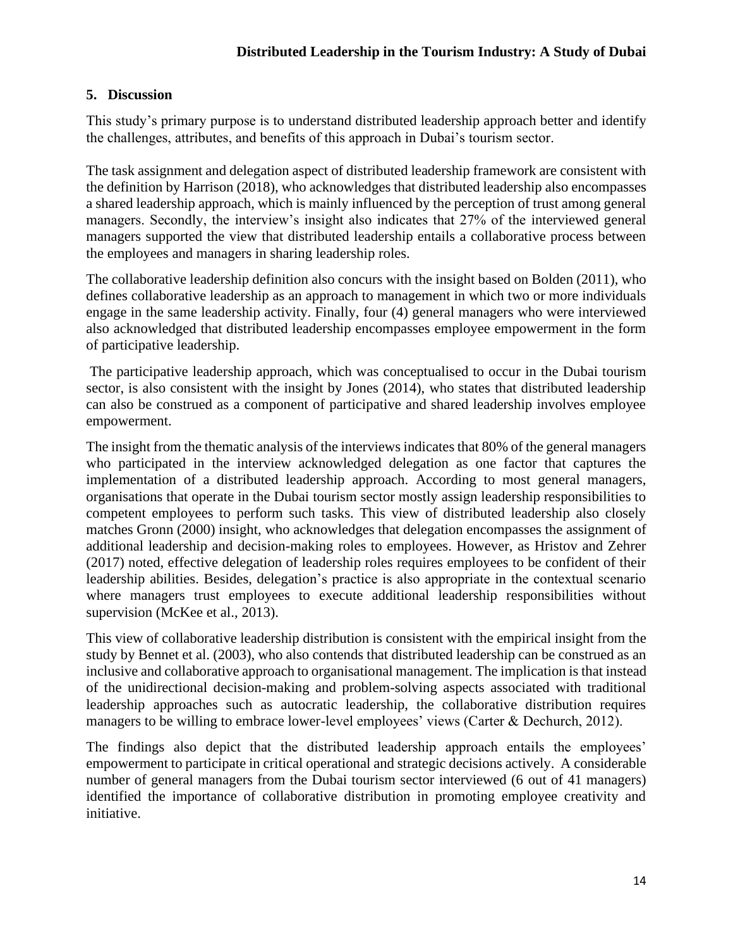## **5. Discussion**

This study's primary purpose is to understand distributed leadership approach better and identify the challenges, attributes, and benefits of this approach in Dubai's tourism sector.

The task assignment and delegation aspect of distributed leadership framework are consistent with the definition by Harrison (2018), who acknowledges that distributed leadership also encompasses a shared leadership approach, which is mainly influenced by the perception of trust among general managers. Secondly, the interview's insight also indicates that 27% of the interviewed general managers supported the view that distributed leadership entails a collaborative process between the employees and managers in sharing leadership roles.

The collaborative leadership definition also concurs with the insight based on Bolden (2011), who defines collaborative leadership as an approach to management in which two or more individuals engage in the same leadership activity. Finally, four (4) general managers who were interviewed also acknowledged that distributed leadership encompasses employee empowerment in the form of participative leadership.

The participative leadership approach, which was conceptualised to occur in the Dubai tourism sector, is also consistent with the insight by Jones (2014), who states that distributed leadership can also be construed as a component of participative and shared leadership involves employee empowerment.

The insight from the thematic analysis of the interviews indicates that 80% of the general managers who participated in the interview acknowledged delegation as one factor that captures the implementation of a distributed leadership approach. According to most general managers, organisations that operate in the Dubai tourism sector mostly assign leadership responsibilities to competent employees to perform such tasks. This view of distributed leadership also closely matches Gronn (2000) insight, who acknowledges that delegation encompasses the assignment of additional leadership and decision-making roles to employees. However, as Hristov and Zehrer (2017) noted, effective delegation of leadership roles requires employees to be confident of their leadership abilities. Besides, delegation's practice is also appropriate in the contextual scenario where managers trust employees to execute additional leadership responsibilities without supervision (McKee et al., 2013).

This view of collaborative leadership distribution is consistent with the empirical insight from the study by Bennet et al. (2003), who also contends that distributed leadership can be construed as an inclusive and collaborative approach to organisational management. The implication is that instead of the unidirectional decision-making and problem-solving aspects associated with traditional leadership approaches such as autocratic leadership, the collaborative distribution requires managers to be willing to embrace lower-level employees' views (Carter & Dechurch, 2012).

The findings also depict that the distributed leadership approach entails the employees' empowerment to participate in critical operational and strategic decisions actively. A considerable number of general managers from the Dubai tourism sector interviewed (6 out of 41 managers) identified the importance of collaborative distribution in promoting employee creativity and initiative.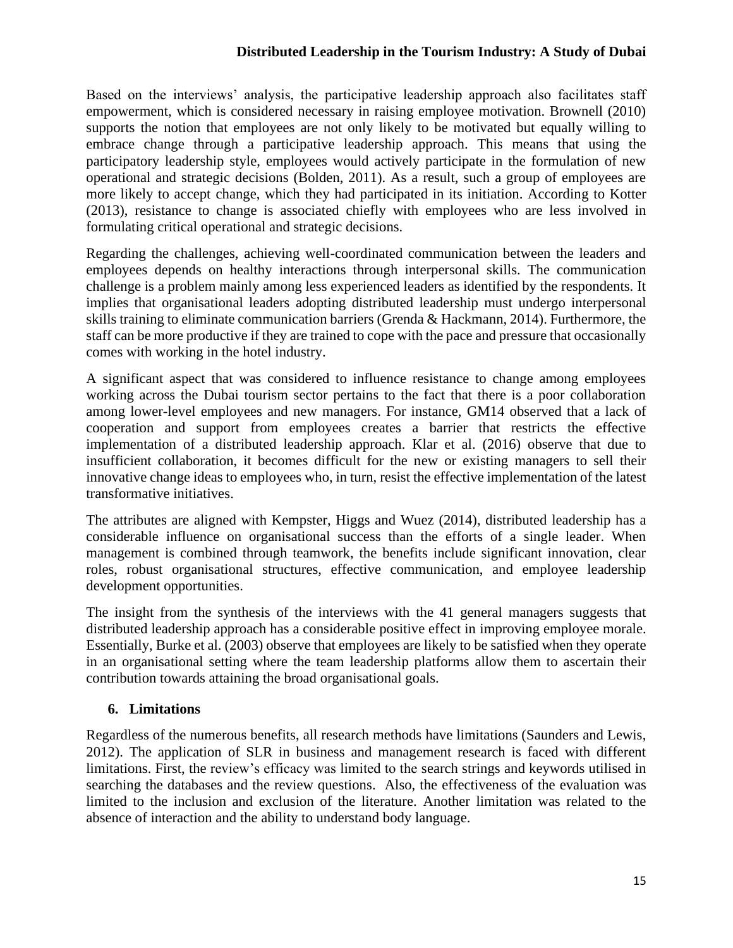Based on the interviews' analysis, the participative leadership approach also facilitates staff empowerment, which is considered necessary in raising employee motivation. Brownell (2010) supports the notion that employees are not only likely to be motivated but equally willing to embrace change through a participative leadership approach. This means that using the participatory leadership style, employees would actively participate in the formulation of new operational and strategic decisions (Bolden, 2011). As a result, such a group of employees are more likely to accept change, which they had participated in its initiation. According to Kotter (2013), resistance to change is associated chiefly with employees who are less involved in formulating critical operational and strategic decisions.

Regarding the challenges, achieving well-coordinated communication between the leaders and employees depends on healthy interactions through interpersonal skills. The communication challenge is a problem mainly among less experienced leaders as identified by the respondents. It implies that organisational leaders adopting distributed leadership must undergo interpersonal skills training to eliminate communication barriers (Grenda & Hackmann, 2014). Furthermore, the staff can be more productive if they are trained to cope with the pace and pressure that occasionally comes with working in the hotel industry.

A significant aspect that was considered to influence resistance to change among employees working across the Dubai tourism sector pertains to the fact that there is a poor collaboration among lower-level employees and new managers. For instance, GM14 observed that a lack of cooperation and support from employees creates a barrier that restricts the effective implementation of a distributed leadership approach. Klar et al. (2016) observe that due to insufficient collaboration, it becomes difficult for the new or existing managers to sell their innovative change ideas to employees who, in turn, resist the effective implementation of the latest transformative initiatives.

The attributes are aligned with Kempster, Higgs and Wuez (2014), distributed leadership has a considerable influence on organisational success than the efforts of a single leader. When management is combined through teamwork, the benefits include significant innovation, clear roles, robust organisational structures, effective communication, and employee leadership development opportunities.

The insight from the synthesis of the interviews with the 41 general managers suggests that distributed leadership approach has a considerable positive effect in improving employee morale. Essentially, Burke et al. (2003) observe that employees are likely to be satisfied when they operate in an organisational setting where the team leadership platforms allow them to ascertain their contribution towards attaining the broad organisational goals.

# **6. Limitations**

Regardless of the numerous benefits, all research methods have limitations (Saunders and Lewis, 2012). The application of SLR in business and management research is faced with different limitations. First, the review's efficacy was limited to the search strings and keywords utilised in searching the databases and the review questions. Also, the effectiveness of the evaluation was limited to the inclusion and exclusion of the literature. Another limitation was related to the absence of interaction and the ability to understand body language.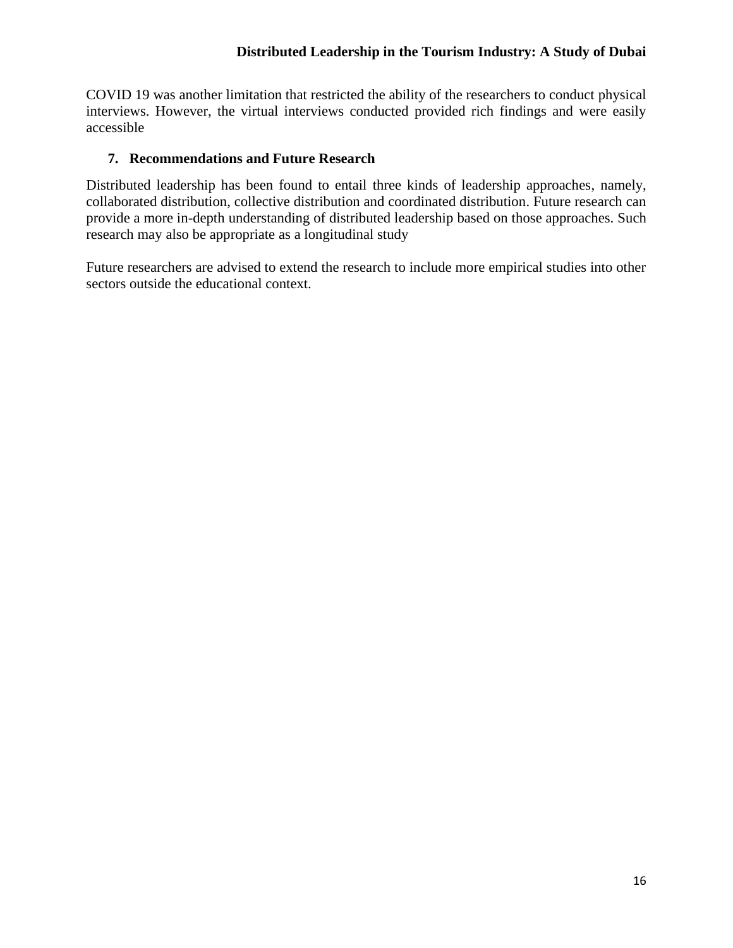COVID 19 was another limitation that restricted the ability of the researchers to conduct physical interviews. However, the virtual interviews conducted provided rich findings and were easily accessible

# **7. Recommendations and Future Research**

Distributed leadership has been found to entail three kinds of leadership approaches, namely, collaborated distribution, collective distribution and coordinated distribution. Future research can provide a more in-depth understanding of distributed leadership based on those approaches. Such research may also be appropriate as a longitudinal study

Future researchers are advised to extend the research to include more empirical studies into other sectors outside the educational context.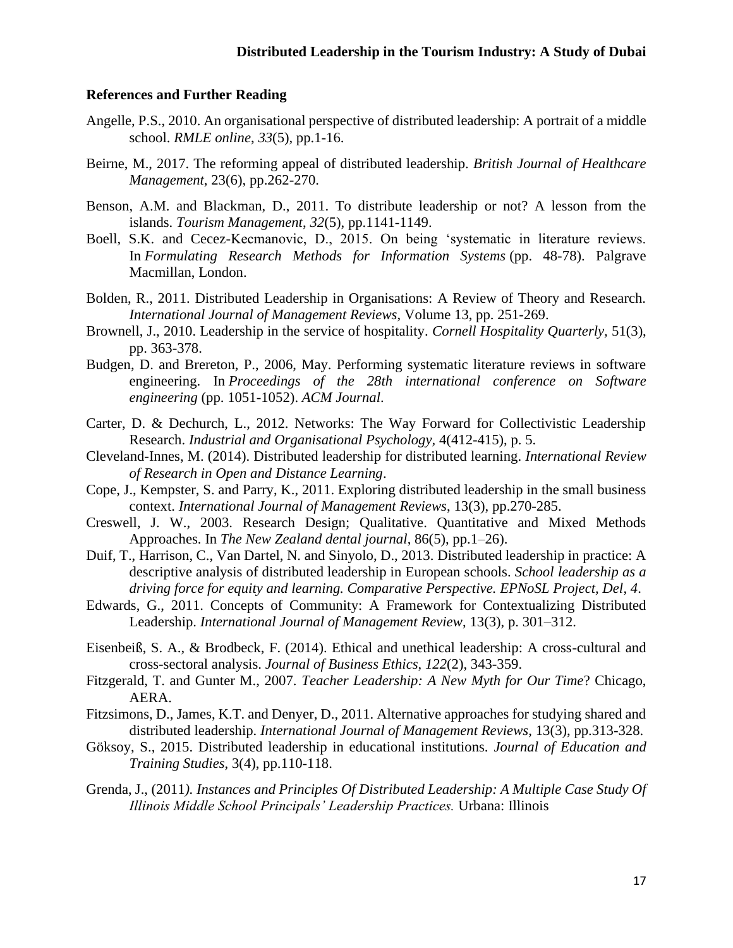#### **References and Further Reading**

- Angelle, P.S., 2010. An organisational perspective of distributed leadership: A portrait of a middle school. *RMLE online*, *33*(5), pp.1-16.
- Beirne, M., 2017. The reforming appeal of distributed leadership. *British Journal of Healthcare Management*, 23(6), pp.262-270.
- Benson, A.M. and Blackman, D., 2011. To distribute leadership or not? A lesson from the islands. *Tourism Management*, *32*(5), pp.1141-1149.
- Boell, S.K. and Cecez-Kecmanovic, D., 2015. On being 'systematic in literature reviews. In *Formulating Research Methods for Information Systems* (pp. 48-78). Palgrave Macmillan, London.
- Bolden, R., 2011. Distributed Leadership in Organisations: A Review of Theory and Research. *International Journal of Management Reviews*, Volume 13, pp. 251-269.
- Brownell, J., 2010. Leadership in the service of hospitality. *Cornell Hospitality Quarterly,* 51(3), pp. 363-378.
- Budgen, D. and Brereton, P., 2006, May. Performing systematic literature reviews in software engineering. In *Proceedings of the 28th international conference on Software engineering* (pp. 1051-1052). *ACM Journal*.
- Carter, D. & Dechurch, L., 2012. Networks: The Way Forward for Collectivistic Leadership Research. *Industrial and Organisational Psychology,* 4(412-415), p. 5.
- Cleveland-Innes, M. (2014). Distributed leadership for distributed learning. *International Review of Research in Open and Distance Learning*.
- Cope, J., Kempster, S. and Parry, K., 2011. Exploring distributed leadership in the small business context. *International Journal of Management Reviews*, 13(3), pp.270-285.
- Creswell, J. W., 2003. Research Design; Qualitative. Quantitative and Mixed Methods Approaches. In *The New Zealand dental journal*, 86(5), pp.1–26).
- Duif, T., Harrison, C., Van Dartel, N. and Sinyolo, D., 2013. Distributed leadership in practice: A descriptive analysis of distributed leadership in European schools. *School leadership as a driving force for equity and learning. Comparative Perspective. EPNoSL Project, Del*, *4*.
- Edwards, G., 2011. Concepts of Community: A Framework for Contextualizing Distributed Leadership. *International Journal of Management Review*, 13(3), p. 301–312.
- Eisenbeiß, S. A., & Brodbeck, F. (2014). Ethical and unethical leadership: A cross-cultural and cross-sectoral analysis. *Journal of Business Ethics*, *122*(2), 343-359.
- Fitzgerald, T. and Gunter M., 2007. *Teacher Leadership: A New Myth for Our Time*? Chicago, AERA.
- Fitzsimons, D., James, K.T. and Denyer, D., 2011. Alternative approaches for studying shared and distributed leadership. *International Journal of Management Reviews*, 13(3), pp.313-328.
- Göksoy, S., 2015. Distributed leadership in educational institutions. *Journal of Education and Training Studies*, 3(4), pp.110-118.
- Grenda, J., (2011*). Instances and Principles Of Distributed Leadership: A Multiple Case Study Of Illinois Middle School Principals' Leadership Practices.* Urbana: Illinois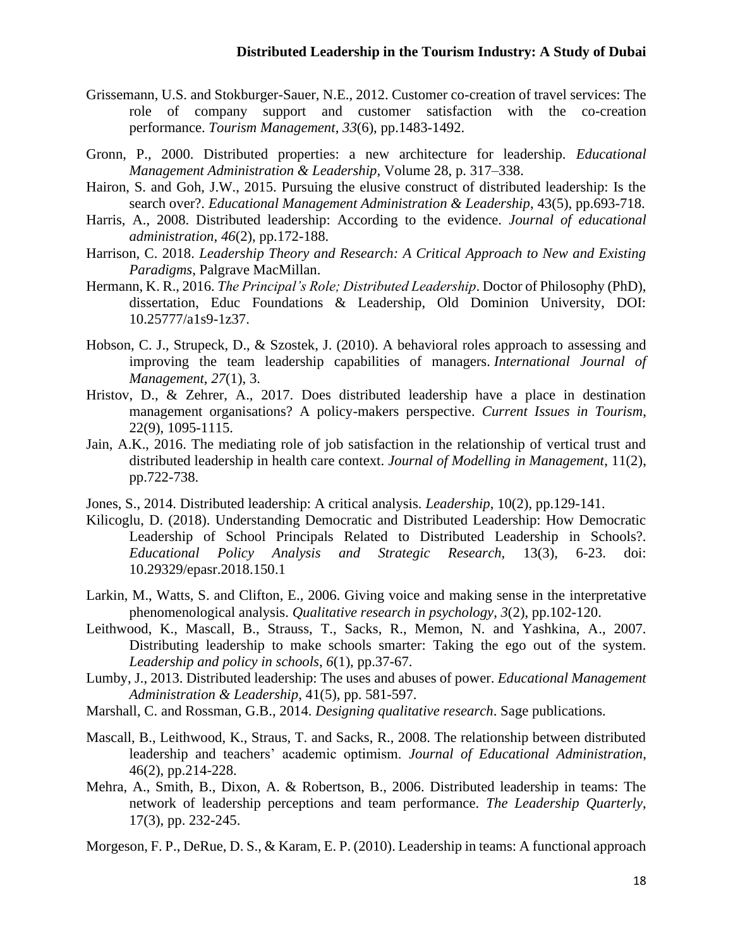- Grissemann, U.S. and Stokburger-Sauer, N.E., 2012. Customer co-creation of travel services: The role of company support and customer satisfaction with the co-creation performance. *Tourism Management*, *33*(6), pp.1483-1492.
- Gronn, P., 2000. Distributed properties: a new architecture for leadership. *Educational Management Administration & Leadership,* Volume 28, p. 317–338.
- Hairon, S. and Goh, J.W., 2015. Pursuing the elusive construct of distributed leadership: Is the search over?. *Educational Management Administration & Leadership*, 43(5), pp.693-718.
- Harris, A., 2008. Distributed leadership: According to the evidence. *Journal of educational administration*, *46*(2), pp.172-188.
- Harrison, C. 2018. *Leadership Theory and Research: A Critical Approach to New and Existing Paradigms*, Palgrave MacMillan.
- Hermann, K. R., 2016. *The Principal's Role; Distributed Leadership*. Doctor of Philosophy (PhD), dissertation, Educ Foundations & Leadership, Old Dominion University, DOI: 10.25777/a1s9-1z37.
- Hobson, C. J., Strupeck, D., & Szostek, J. (2010). A behavioral roles approach to assessing and improving the team leadership capabilities of managers. *International Journal of Management*, *27*(1), 3.
- Hristov, D., & Zehrer, A., 2017. Does distributed leadership have a place in destination management organisations? A policy-makers perspective. *Current Issues in Tourism*, 22(9), 1095-1115.
- Jain, A.K., 2016. The mediating role of job satisfaction in the relationship of vertical trust and distributed leadership in health care context. *Journal of Modelling in Management*, 11(2), pp.722-738.
- Jones, S., 2014. Distributed leadership: A critical analysis. *Leadership*, 10(2), pp.129-141.
- Kilicoglu, D. (2018). Understanding Democratic and Distributed Leadership: How Democratic Leadership of School Principals Related to Distributed Leadership in Schools?. *Educational Policy Analysis and Strategic Research,* 13(3), 6-23. doi: 10.29329/epasr.2018.150.1
- Larkin, M., Watts, S. and Clifton, E., 2006. Giving voice and making sense in the interpretative phenomenological analysis. *Qualitative research in psychology*, *3*(2), pp.102-120.
- Leithwood, K., Mascall, B., Strauss, T., Sacks, R., Memon, N. and Yashkina, A., 2007. Distributing leadership to make schools smarter: Taking the ego out of the system. *Leadership and policy in schools*, *6*(1), pp.37-67.
- Lumby, J., 2013. Distributed leadership: The uses and abuses of power. *Educational Management Administration & Leadership*, 41(5), pp. 581-597.
- Marshall, C. and Rossman, G.B., 2014. *Designing qualitative research*. Sage publications.
- Mascall, B., Leithwood, K., Straus, T. and Sacks, R., 2008. The relationship between distributed leadership and teachers' academic optimism. *Journal of Educational Administration*, 46(2), pp.214-228.
- Mehra, A., Smith, B., Dixon, A. & Robertson, B., 2006. Distributed leadership in teams: The network of leadership perceptions and team performance. *The Leadership Quarterly*, 17(3), pp. 232-245.

Morgeson, F. P., DeRue, D. S., & Karam, E. P. (2010). Leadership in teams: A functional approach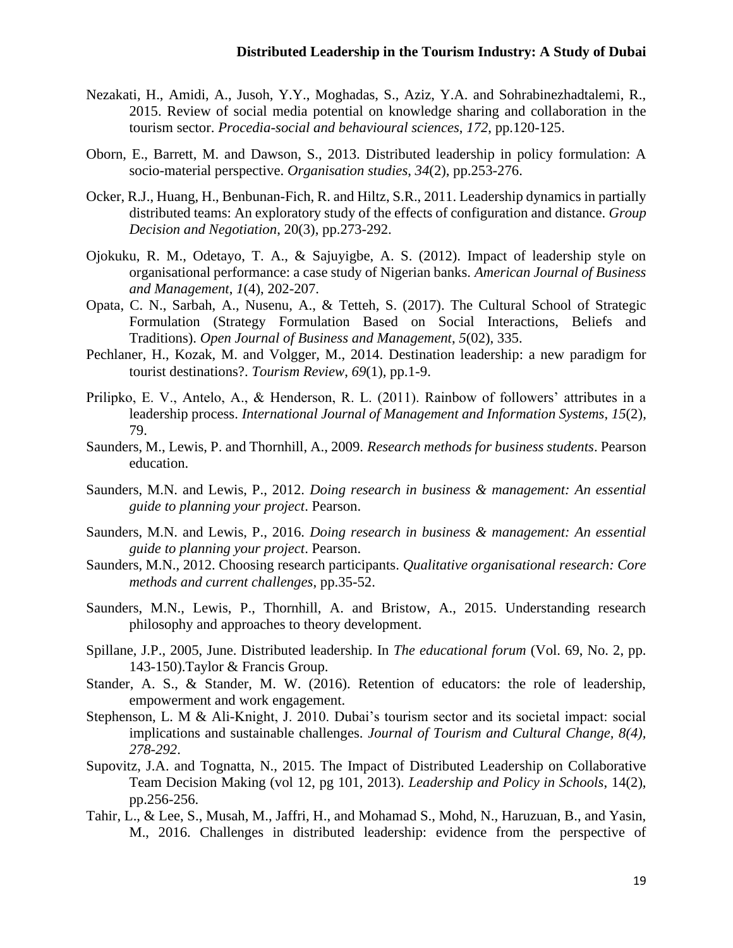- Nezakati, H., Amidi, A., Jusoh, Y.Y., Moghadas, S., Aziz, Y.A. and Sohrabinezhadtalemi, R., 2015. Review of social media potential on knowledge sharing and collaboration in the tourism sector. *Procedia-social and behavioural sciences*, *172*, pp.120-125.
- Oborn, E., Barrett, M. and Dawson, S., 2013. Distributed leadership in policy formulation: A socio-material perspective. *Organisation studies*, *34*(2), pp.253-276.
- Ocker, R.J., Huang, H., Benbunan-Fich, R. and Hiltz, S.R., 2011. Leadership dynamics in partially distributed teams: An exploratory study of the effects of configuration and distance. *Group Decision and Negotiation*, 20(3), pp.273-292.
- Ojokuku, R. M., Odetayo, T. A., & Sajuyigbe, A. S. (2012). Impact of leadership style on organisational performance: a case study of Nigerian banks. *American Journal of Business and Management*, *1*(4), 202-207.
- Opata, C. N., Sarbah, A., Nusenu, A., & Tetteh, S. (2017). The Cultural School of Strategic Formulation (Strategy Formulation Based on Social Interactions, Beliefs and Traditions). *Open Journal of Business and Management*, *5*(02), 335.
- Pechlaner, H., Kozak, M. and Volgger, M., 2014. Destination leadership: a new paradigm for tourist destinations?. *Tourism Review*, *69*(1), pp.1-9.
- Prilipko, E. V., Antelo, A., & Henderson, R. L. (2011). Rainbow of followers' attributes in a leadership process. *International Journal of Management and Information Systems*, *15*(2), 79.
- Saunders, M., Lewis, P. and Thornhill, A., 2009. *Research methods for business students*. Pearson education.
- Saunders, M.N. and Lewis, P., 2012. *Doing research in business & management: An essential guide to planning your project*. Pearson.
- Saunders, M.N. and Lewis, P., 2016. *Doing research in business & management: An essential guide to planning your project*. Pearson.
- Saunders, M.N., 2012. Choosing research participants. *Qualitative organisational research: Core methods and current challenges*, pp.35-52.
- Saunders, M.N., Lewis, P., Thornhill, A. and Bristow, A., 2015. Understanding research philosophy and approaches to theory development.
- Spillane, J.P., 2005, June. Distributed leadership. In *The educational forum* (Vol. 69, No. 2, pp. 143-150).Taylor & Francis Group.
- Stander, A. S., & Stander, M. W. (2016). Retention of educators: the role of leadership, empowerment and work engagement.
- Stephenson, L. M & Ali-Knight, J. 2010. Dubai's tourism sector and its societal impact: social implications and sustainable challenges. *Journal of Tourism and Cultural Change, 8(4), 278-292*.
- Supovitz, J.A. and Tognatta, N., 2015. The Impact of Distributed Leadership on Collaborative Team Decision Making (vol 12, pg 101, 2013). *Leadership and Policy in Schools*, 14(2), pp.256-256.
- Tahir, L., & Lee, S., Musah, M., Jaffri, H., and Mohamad S., Mohd, N., Haruzuan, B., and Yasin, M., 2016. Challenges in distributed leadership: evidence from the perspective of